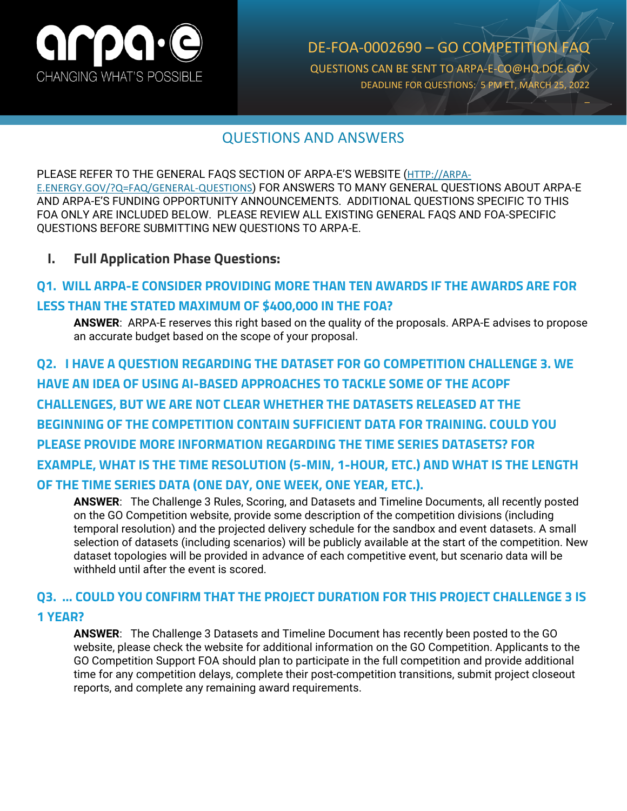

DE-FOA-0002690 – GO COMPETITION FAQ QUESTIONS CAN BE SENT TO ARPA-E-CO@HQ.DOE.GOV DEADLINE FOR QUESTIONS: 5 PM ET, MARCH 25, 2022 \_

## QUESTIONS AND ANSWERS

PLEASE REFER TO THE GENERAL FAQS SECTION OF ARPA-E'S WEBSITE ([HTTP://ARPA-](http://arpa-e.energy.gov/?Q=FAQ/GENERAL-QUESTIONS)[E.ENERGY.GOV/?Q=FAQ/GENERAL-QUESTIONS](http://arpa-e.energy.gov/?Q=FAQ/GENERAL-QUESTIONS)) FOR ANSWERS TO MANY GENERAL QUESTIONS ABOUT ARPA-E AND ARPA-E'S FUNDING OPPORTUNITY ANNOUNCEMENTS. ADDITIONAL QUESTIONS SPECIFIC TO THIS FOA ONLY ARE INCLUDED BELOW. PLEASE REVIEW ALL EXISTING GENERAL FAQS AND FOA-SPECIFIC QUESTIONS BEFORE SUBMITTING NEW QUESTIONS TO ARPA-E.

**I. Full Application Phase Questions:**

## **Q1. WILL ARPA-E CONSIDER PROVIDING MORE THAN TEN AWARDS IF THE AWARDS ARE FOR LESS THAN THE STATED MAXIMUM OF \$400,000 IN THE FOA?**

**ANSWER**: ARPA-E reserves this right based on the quality of the proposals. ARPA-E advises to propose an accurate budget based on the scope of your proposal.

**Q2. I HAVE A QUESTION REGARDING THE DATASET FOR GO COMPETITION CHALLENGE 3. WE HAVE AN IDEA OF USING AI-BASED APPROACHES TO TACKLE SOME OF THE ACOPF CHALLENGES, BUT WE ARE NOT CLEAR WHETHER THE DATASETS RELEASED AT THE BEGINNING OF THE COMPETITION CONTAIN SUFFICIENT DATA FOR TRAINING. COULD YOU PLEASE PROVIDE MORE INFORMATION REGARDING THE TIME SERIES DATASETS? FOR EXAMPLE, WHAT IS THE TIME RESOLUTION (5-MIN, 1-HOUR, ETC.) AND WHAT IS THE LENGTH OF THE TIME SERIES DATA (ONE DAY, ONE WEEK, ONE YEAR, ETC.).**

**ANSWER**: The Challenge 3 Rules, Scoring, and Datasets and Timeline Documents, all recently posted on the GO Competition website, provide some description of the competition divisions (including temporal resolution) and the projected delivery schedule for the sandbox and event datasets. A small selection of datasets (including scenarios) will be publicly available at the start of the competition. New dataset topologies will be provided in advance of each competitive event, but scenario data will be withheld until after the event is scored.

### **Q3. … COULD YOU CONFIRM THAT THE PROJECT DURATION FOR THIS PROJECT CHALLENGE 3 IS 1 YEAR?**

**ANSWER**: The Challenge 3 Datasets and Timeline Document has recently been posted to the GO website, please check the website for additional information on the GO Competition. Applicants to the GO Competition Support FOA should plan to participate in the full competition and provide additional time for any competition delays, complete their post-competition transitions, submit project closeout reports, and complete any remaining award requirements.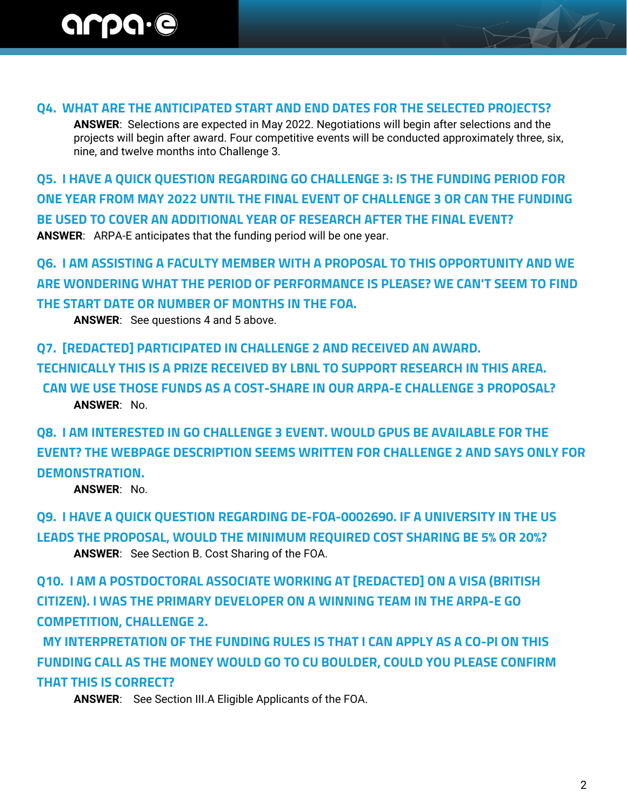#### **Q4. WHAT ARE THE ANTICIPATED START AND END DATES FOR THE SELECTED PROJECTS?**

**ANSWER**: Selections are expected in May 2022. Negotiations will begin after selections and the projects will begin after award. Four competitive events will be conducted approximately three, six, nine, and twelve months into Challenge 3.

**Q5. I HAVE A QUICK QUESTION REGARDING GO CHALLENGE 3: IS THE FUNDING PERIOD FOR ONE YEAR FROM MAY 2022 UNTIL THE FINAL EVENT OF CHALLENGE 3 OR CAN THE FUNDING BE USED TO COVER AN ADDITIONAL YEAR OF RESEARCH AFTER THE FINAL EVENT? ANSWER**: ARPA-E anticipates that the funding period will be one year.

**Q6. I AM ASSISTING A FACULTY MEMBER WITH A PROPOSAL TO THIS OPPORTUNITY AND WE ARE WONDERING WHAT THE PERIOD OF PERFORMANCE IS PLEASE? WE CAN'T SEEM TO FIND THE START DATE OR NUMBER OF MONTHS IN THE FOA.**

**ANSWER**: See questions 4 and 5 above.

**Q7. [REDACTED] PARTICIPATED IN CHALLENGE 2 AND RECEIVED AN AWARD. TECHNICALLY THIS IS A PRIZE RECEIVED BY LBNL TO SUPPORT RESEARCH IN THIS AREA. CAN WE USE THOSE FUNDS AS A COST-SHARE IN OUR ARPA-E CHALLENGE 3 PROPOSAL? ANSWER**: No.

**Q8. I AM INTERESTED IN GO CHALLENGE 3 EVENT. WOULD GPUS BE AVAILABLE FOR THE EVENT? THE WEBPAGE DESCRIPTION SEEMS WRITTEN FOR CHALLENGE 2 AND SAYS ONLY FOR DEMONSTRATION.**

**ANSWER**: No.

**Q9. I HAVE A QUICK QUESTION REGARDING DE-FOA-0002690. IF A UNIVERSITY IN THE US LEADS THE PROPOSAL, WOULD THE MINIMUM REQUIRED COST SHARING BE 5% OR 20%? ANSWER**: See Section B. Cost Sharing of the FOA.

**Q10. I AM A POSTDOCTORAL ASSOCIATE WORKING AT [REDACTED] ON A VISA (BRITISH CITIZEN). I WAS THE PRIMARY DEVELOPER ON A WINNING TEAM IN THE ARPA-E GO COMPETITION, CHALLENGE 2.**

 **MY INTERPRETATION OF THE FUNDING RULES IS THAT I CAN APPLY AS A CO-PI ON THIS FUNDING CALL AS THE MONEY WOULD GO TO CU BOULDER, COULD YOU PLEASE CONFIRM THAT THIS IS CORRECT?**

**ANSWER**: See Section III.A Eligible Applicants of the FOA.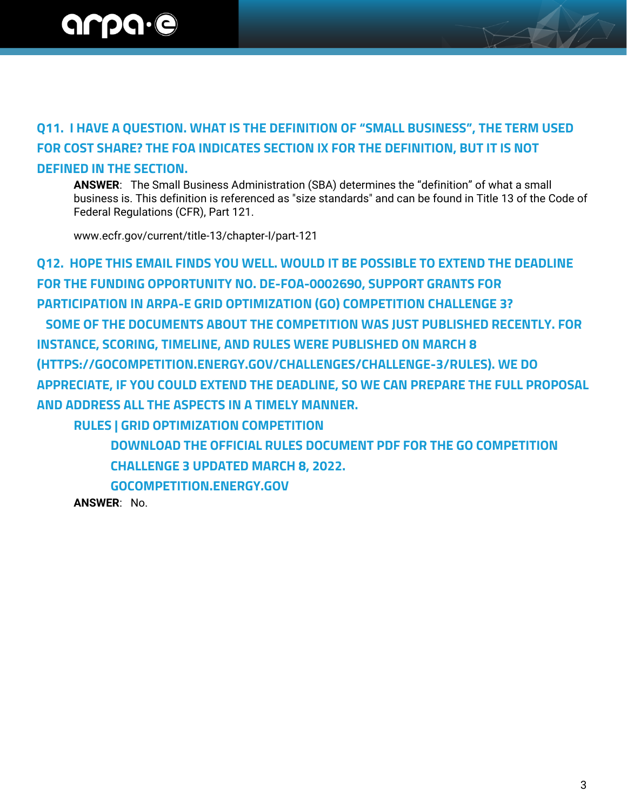## **Q11. I HAVE A QUESTION. WHAT IS THE DEFINITION OF "SMALL BUSINESS", THE TERM USED FOR COST SHARE? THE FOA INDICATES SECTION IX FOR THE DEFINITION, BUT IT IS NOT DEFINED IN THE SECTION.**

**ANSWER**: The Small Business Administration (SBA) determines the "definition" of what a small business is. This definition is referenced as "size standards" and can be found in Title 13 of the Code of Federal Regulations (CFR), Part 121.

www.ecfr.gov/current/title-13/chapter-I/part-121

**Q12. HOPE THIS EMAIL FINDS YOU WELL. WOULD IT BE POSSIBLE TO EXTEND THE DEADLINE FOR THE FUNDING OPPORTUNITY NO. DE-FOA-0002690, SUPPORT GRANTS FOR PARTICIPATION IN ARPA-E GRID OPTIMIZATION (GO) COMPETITION CHALLENGE 3? SOME OF THE DOCUMENTS ABOUT THE COMPETITION WAS JUST PUBLISHED RECENTLY. FOR INSTANCE, SCORING, TIMELINE, AND RULES WERE PUBLISHED ON MARCH 8 (HTTPS://GOCOMPETITION.ENERGY.GOV/CHALLENGES/CHALLENGE-3/RULES). WE DO APPRECIATE, IF YOU COULD EXTEND THE DEADLINE, SO WE CAN PREPARE THE FULL PROPOSAL** 

**AND ADDRESS ALL THE ASPECTS IN A TIMELY MANNER.** 

**RULES | GRID OPTIMIZATION COMPETITION**

**DOWNLOAD THE OFFICIAL RULES DOCUMENT PDF FOR THE GO COMPETITION CHALLENGE 3 UPDATED MARCH 8, 2022.**

**GOCOMPETITION.ENERGY.GOV**

**ANSWER**: No.